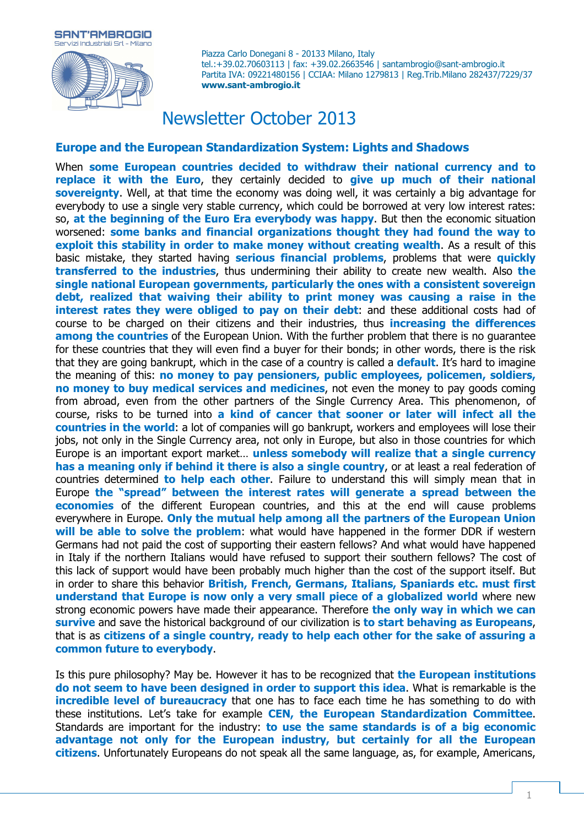



Piazza Carlo Donegani 8 - 20133 Milano, Italy tel.:+39.02.70603113 | fax: +39.02.2663546 | santambrogio@sant-ambrogio.it Partita IVA: 09221480156 | CCIAA: Milano 1279813 | Reg.Trib.Milano 282437/7229/37 **www.sant-ambrogio.it**

# Newsletter October 2013

### **Europe and the European Standardization System: Lights and Shadows**

When **some European countries decided to withdraw their national currency and to replace it with the Euro**, they certainly decided to **give up much of their national sovereignty**. Well, at that time the economy was doing well, it was certainly a big advantage for everybody to use a single very stable currency, which could be borrowed at very low interest rates: so, **at the beginning of the Euro Era everybody was happy**. But then the economic situation worsened: **some banks and financial organizations thought they had found the way to exploit this stability in order to make money without creating wealth**. As a result of this basic mistake, they started having **serious financial problems**, problems that were **quickly transferred to the industries**, thus undermining their ability to create new wealth. Also **the single national European governments, particularly the ones with a consistent sovereign debt, realized that waiving their ability to print money was causing a raise in the interest rates they were obliged to pay on their debt**: and these additional costs had of course to be charged on their citizens and their industries, thus **increasing the differences among the countries** of the European Union. With the further problem that there is no guarantee for these countries that they will even find a buyer for their bonds; in other words, there is the risk that they are going bankrupt, which in the case of a country is called a **default**. It's hard to imagine the meaning of this: **no money to pay pensioners, public employees, policemen, soldiers, no money to buy medical services and medicines**, not even the money to pay goods coming from abroad, even from the other partners of the Single Currency Area. This phenomenon, of course, risks to be turned into **a kind of cancer that sooner or later will infect all the countries in the world**: a lot of companies will go bankrupt, workers and employees will lose their jobs, not only in the Single Currency area, not only in Europe, but also in those countries for which Europe is an important export market… **unless somebody will realize that a single currency has a meaning only if behind it there is also a single country**, or at least a real federation of countries determined **to help each other**. Failure to understand this will simply mean that in Europe **the "spread" between the interest rates will generate a spread between the economies** of the different European countries, and this at the end will cause problems everywhere in Europe. **Only the mutual help among all the partners of the European Union will be able to solve the problem**: what would have happened in the former DDR if western Germans had not paid the cost of supporting their eastern fellows? And what would have happened in Italy if the northern Italians would have refused to support their southern fellows? The cost of this lack of support would have been probably much higher than the cost of the support itself. But in order to share this behavior **British, French, Germans, Italians, Spaniards etc. must first understand that Europe is now only a very small piece of a globalized world** where new strong economic powers have made their appearance. Therefore **the only way in which we can survive** and save the historical background of our civilization is **to start behaving as Europeans**, that is as **citizens of a single country, ready to help each other for the sake of assuring a common future to everybody**.

Is this pure philosophy? May be. However it has to be recognized that **the European institutions do not seem to have been designed in order to support this idea**. What is remarkable is the **incredible level of bureaucracy** that one has to face each time he has something to do with these institutions. Let's take for example **CEN, the European Standardization Committee**. Standards are important for the industry: **to use the same standards is of a big economic advantage not only for the European industry, but certainly for all the European citizens**. Unfortunately Europeans do not speak all the same language, as, for example, Americans,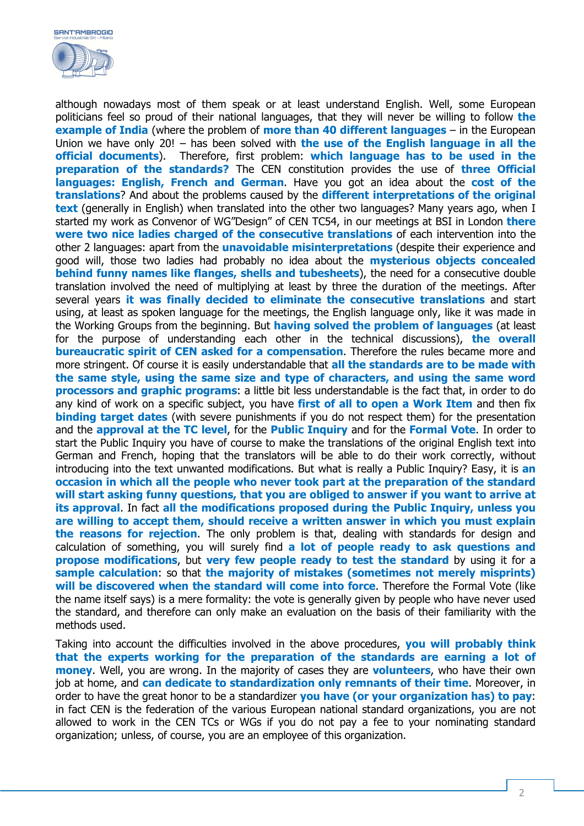

although nowadays most of them speak or at least understand English. Well, some European politicians feel so proud of their national languages, that they will never be willing to follow **the example of India** (where the problem of **more than 40 different languages** – in the European Union we have only 20! – has been solved with **the use of the English language in all the official documents**). Therefore, first problem: **which language has to be used in the preparation of the standards?** The CEN constitution provides the use of **three Official languages: English, French and German**. Have you got an idea about the **cost of the translations**? And about the problems caused by the **different interpretations of the original text** (generally in English) when translated into the other two languages? Many years ago, when I started my work as Convenor of WG"Design" of CEN TC54, in our meetings at BSI in London **there were two nice ladies charged of the consecutive translations** of each intervention into the other 2 languages: apart from the **unavoidable misinterpretations** (despite their experience and good will, those two ladies had probably no idea about the **mysterious objects concealed behind funny names like flanges, shells and tubesheets**), the need for a consecutive double translation involved the need of multiplying at least by three the duration of the meetings. After several years **it was finally decided to eliminate the consecutive translations** and start using, at least as spoken language for the meetings, the English language only, like it was made in the Working Groups from the beginning. But **having solved the problem of languages** (at least for the purpose of understanding each other in the technical discussions), **the overall bureaucratic spirit of CEN asked for a compensation**. Therefore the rules became more and more stringent. Of course it is easily understandable that **all the standards are to be made with the same style, using the same size and type of characters, and using the same word processors and graphic programs**: a little bit less understandable is the fact that, in order to do any kind of work on a specific subject, you have **first of all to open a Work Item** and then fix **binding target dates** (with severe punishments if you do not respect them) for the presentation and the **approval at the TC level**, for the **Public Inquiry** and for the **Formal Vote**. In order to start the Public Inquiry you have of course to make the translations of the original English text into German and French, hoping that the translators will be able to do their work correctly, without introducing into the text unwanted modifications. But what is really a Public Inquiry? Easy, it is **an occasion in which all the people who never took part at the preparation of the standard will start asking funny questions, that you are obliged to answer if you want to arrive at its approval**. In fact **all the modifications proposed during the Public Inquiry, unless you are willing to accept them, should receive a written answer in which you must explain the reasons for rejection**. The only problem is that, dealing with standards for design and calculation of something, you will surely find **a lot of people ready to ask questions and propose modifications**, but **very few people ready to test the standard** by using it for a **sample calculation**: so that **the majority of mistakes (sometimes not merely misprints) will be discovered when the standard will come into force**. Therefore the Formal Vote (like the name itself says) is a mere formality: the vote is generally given by people who have never used the standard, and therefore can only make an evaluation on the basis of their familiarity with the methods used.

Taking into account the difficulties involved in the above procedures, **you will probably think that the experts working for the preparation of the standards are earning a lot of money**. Well, you are wrong. In the majority of cases they are **volunteers**, who have their own job at home, and **can dedicate to standardization only remnants of their time**. Moreover, in order to have the great honor to be a standardizer **you have (or your organization has) to pay**: in fact CEN is the federation of the various European national standard organizations, you are not allowed to work in the CEN TCs or WGs if you do not pay a fee to your nominating standard organization; unless, of course, you are an employee of this organization.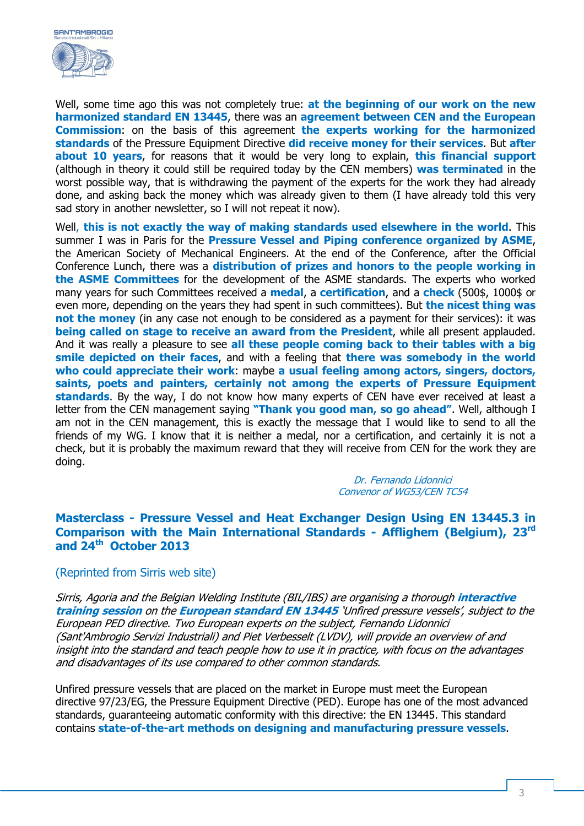

Well, some time ago this was not completely true: **at the beginning of our work on the new harmonized standard EN 13445**, there was an **agreement between CEN and the European Commission**: on the basis of this agreement **the experts working for the harmonized standards** of the Pressure Equipment Directive **did receive money for their services**. But **after about 10 years**, for reasons that it would be very long to explain, **this financial support** (although in theory it could still be required today by the CEN members) **was terminated** in the worst possible way, that is withdrawing the payment of the experts for the work they had already done, and asking back the money which was already given to them (I have already told this very sad story in another newsletter, so I will not repeat it now).

Well, **this is not exactly the way of making standards used elsewhere in the world**. This summer I was in Paris for the **Pressure Vessel and Piping conference organized by ASME**, the American Society of Mechanical Engineers. At the end of the Conference, after the Official Conference Lunch, there was a **distribution of prizes and honors to the people working in the ASME Committees** for the development of the ASME standards. The experts who worked many years for such Committees received a **medal**, a **certification**, and a **check** (500\$, 1000\$ or even more, depending on the years they had spent in such committees). But **the nicest thing was not the money** (in any case not enough to be considered as a payment for their services): it was **being called on stage to receive an award from the President**, while all present applauded. And it was really a pleasure to see **all these people coming back to their tables with a big smile depicted on their faces**, and with a feeling that **there was somebody in the world who could appreciate their work**: maybe **a usual feeling among actors, singers, doctors, saints, poets and painters, certainly not among the experts of Pressure Equipment standards**. By the way, I do not know how many experts of CEN have ever received at least a letter from the CEN management saying **"Thank you good man, so go ahead"**. Well, although I am not in the CEN management, this is exactly the message that I would like to send to all the friends of my WG. I know that it is neither a medal, nor a certification, and certainly it is not a check, but it is probably the maximum reward that they will receive from CEN for the work they are doing.

> Dr. Fernando Lidonnici Convenor of WG53/CEN TC54

## **Masterclass - Pressure Vessel and Heat Exchanger Design Using EN 13445.3 in Comparison with the Main International Standards - Afflighem (Belgium), 23rd and 24th October 2013**

#### (Reprinted from Sirris web site)

Sirris, Agoria and the Belgian Welding Institute (BIL/IBS) are organising a thorough **interactive training session** on the **European standard EN 13445** 'Unfired pressure vessels', subject to the European PED directive. Two European experts on the subject, Fernando Lidonnici (Sant'Ambrogio Servizi Industriali) and Piet Verbesselt (LVDV), will provide an overview of and insight into the standard and teach people how to use it in practice, with focus on the advantages and disadvantages of its use compared to other common standards.

Unfired pressure vessels that are placed on the market in Europe must meet the European directive 97/23/EG, the Pressure Equipment Directive (PED). Europe has one of the most advanced standards, guaranteeing automatic conformity with this directive: the EN 13445. This standard contains **state-of-the-art methods on designing and manufacturing pressure vessels**.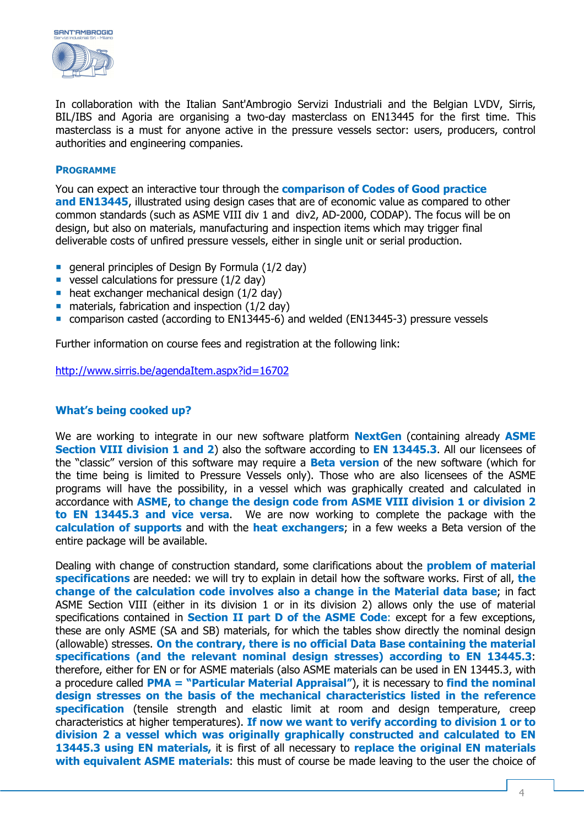

In collaboration with the Italian Sant'Ambrogio Servizi Industriali and the Belgian LVDV, Sirris, BIL/IBS and Agoria are organising a two-day masterclass on EN13445 for the first time. This masterclass is a must for anyone active in the pressure vessels sector: users, producers, control authorities and engineering companies.

#### **PROGRAMME**

You can expect an interactive tour through the **comparison of Codes of Good practice and EN13445**, illustrated using design cases that are of economic value as compared to other common standards (such as ASME VIII div 1 and div2, AD-2000, CODAP). The focus will be on design, but also on materials, manufacturing and inspection items which may trigger final deliverable costs of unfired pressure vessels, either in single unit or serial production.

- qeneral principles of Design By Formula  $(1/2 \text{ day})$
- vessel calculations for pressure  $(1/2$  day)
- $\blacksquare$  heat exchanger mechanical design (1/2 day)
- materials, fabrication and inspection (1/2 day)
- comparison casted (according to EN13445-6) and welded (EN13445-3) pressure vessels

Further information on course fees and registration at the following link:

http://www.sirris.be/agendaItem.aspx?id=16702

#### **What's being cooked up?**

We are working to integrate in our new software platform **NextGen** (containing already **ASME Section VIII division 1 and 2**) also the software according to **EN 13445.3**. All our licensees of the "classic" version of this software may require a **Beta version** of the new software (which for the time being is limited to Pressure Vessels only). Those who are also licensees of the ASME programs will have the possibility, in a vessel which was graphically created and calculated in accordance with **ASME**, **to change the design code from ASME VIII division 1 or division 2 to EN 13445.3 and vice versa**. We are now working to complete the package with the **calculation of supports** and with the **heat exchangers**; in a few weeks a Beta version of the entire package will be available.

Dealing with change of construction standard, some clarifications about the **problem of material specifications** are needed: we will try to explain in detail how the software works. First of all, **the change of the calculation code involves also a change in the Material data base**; in fact ASME Section VIII (either in its division 1 or in its division 2) allows only the use of material specifications contained in **Section II part D of the ASME Code**: except for a few exceptions, these are only ASME (SA and SB) materials, for which the tables show directly the nominal design (allowable) stresses. **On the contrary, there is no official Data Base containing the material specifications (and the relevant nominal design stresses) according to EN 13445.3**: therefore, either for EN or for ASME materials (also ASME materials can be used in EN 13445.3, with a procedure called **PMA = "Particular Material Appraisal"**), it is necessary to **find the nominal design stresses on the basis of the mechanical characteristics listed in the reference specification** (tensile strength and elastic limit at room and design temperature, creep characteristics at higher temperatures). **If now we want to verify according to division 1 or to division 2 a vessel which was originally graphically constructed and calculated to EN 13445.3 using EN materials,** it is first of all necessary to **replace the original EN materials with equivalent ASME materials**: this must of course be made leaving to the user the choice of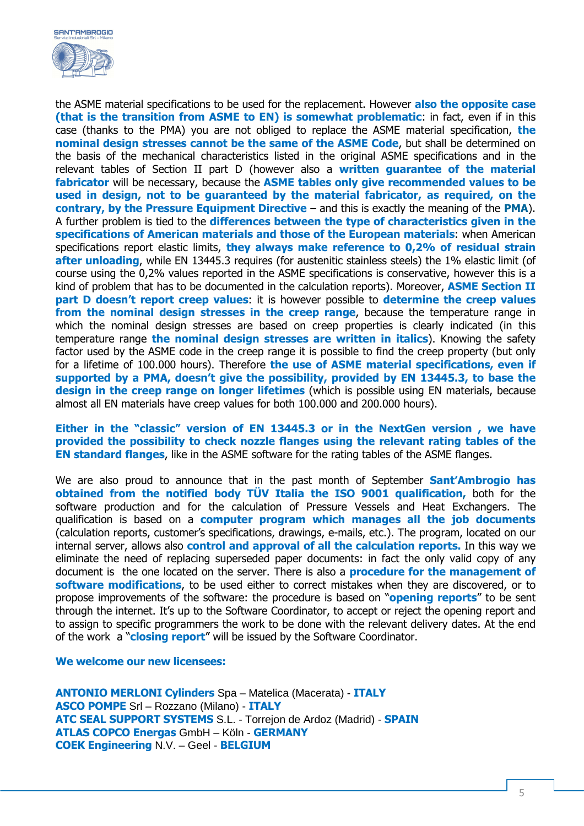

the ASME material specifications to be used for the replacement. However **also the opposite case (that is the transition from ASME to EN) is somewhat problematic**: in fact, even if in this case (thanks to the PMA) you are not obliged to replace the ASME material specification, **the nominal design stresses cannot be the same of the ASME Code**, but shall be determined on the basis of the mechanical characteristics listed in the original ASME specifications and in the relevant tables of Section II part D (however also a **written guarantee of the material fabricator** will be necessary, because the **ASME tables only give recommended values to be used in design, not to be guaranteed by the material fabricator, as required, on the contrary, by the Pressure Equipment Directive** – and this is exactly the meaning of the **PMA**). A further problem is tied to the **differences between the type of characteristics given in the specifications of American materials and those of the European materials**: when American specifications report elastic limits, **they always make reference to 0,2% of residual strain after unloading**, while EN 13445.3 requires (for austenitic stainless steels) the 1% elastic limit (of course using the 0,2% values reported in the ASME specifications is conservative, however this is a kind of problem that has to be documented in the calculation reports). Moreover, **ASME Section II part D doesn't report creep values**: it is however possible to **determine the creep values from the nominal design stresses in the creep range**, because the temperature range in which the nominal design stresses are based on creep properties is clearly indicated (in this temperature range **the nominal design stresses are written in italics**). Knowing the safety factor used by the ASME code in the creep range it is possible to find the creep property (but only for a lifetime of 100.000 hours). Therefore **the use of ASME material specifications, even if supported by a PMA, doesn't give the possibility, provided by EN 13445.3, to base the design in the creep range on longer lifetimes** (which is possible using EN materials, because almost all EN materials have creep values for both 100.000 and 200.000 hours).

**Either in the "classic" version of EN 13445.3 or in the NextGen version , we have provided the possibility to check nozzle flanges using the relevant rating tables of the EN standard flanges**, like in the ASME software for the rating tables of the ASME flanges.

We are also proud to announce that in the past month of September **Sant'Ambrogio has obtained from the notified body TÜV Italia the ISO 9001 qualification,** both for the software production and for the calculation of Pressure Vessels and Heat Exchangers. The qualification is based on a **computer program which manages all the job documents** (calculation reports, customer's specifications, drawings, e-mails, etc.). The program, located on our internal server, allows also **control and approval of all the calculation reports.** In this way we eliminate the need of replacing superseded paper documents: in fact the only valid copy of any document is the one located on the server. There is also a **procedure for the management of software modifications**, to be used either to correct mistakes when they are discovered, or to propose improvements of the software: the procedure is based on "**opening reports**" to be sent through the internet. It's up to the Software Coordinator, to accept or reject the opening report and to assign to specific programmers the work to be done with the relevant delivery dates. At the end of the work a "**closing report**" will be issued by the Software Coordinator.

**We welcome our new licensees:** 

**ANTONIO MERLONI Cylinders** Spa – Matelica (Macerata) - **ITALY ASCO POMPE** Srl – Rozzano (Milano) - **ITALY ATC SEAL SUPPORT SYSTEMS** S.L. - Torrejon de Ardoz (Madrid) - **SPAIN ATLAS COPCO Energas** GmbH – Köln - **GERMANY COEK Engineering** N.V. – Geel - **BELGIUM**